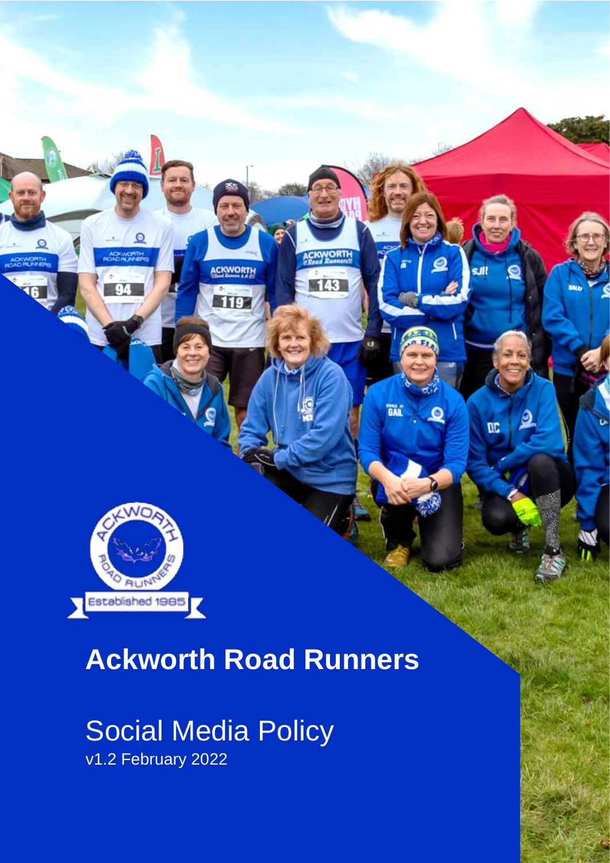

# **Ackworth Road Runners**

ACKWORTH

**119** 

143

**GAIL** 

Q

œ

# Social Media Policy v1.2 February 2022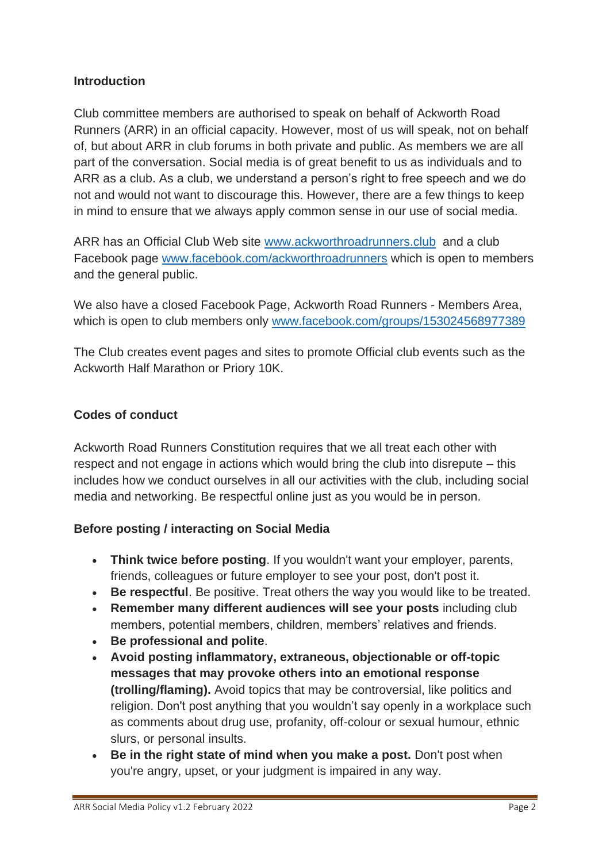#### **Introduction**

Club committee members are authorised to speak on behalf of Ackworth Road Runners (ARR) in an official capacity. However, most of us will speak, not on behalf of, but about ARR in club forums in both private and public. As members we are all part of the conversation. Social media is of great benefit to us as individuals and to ARR as a club. As a club, we understand a person's right to free speech and we do not and would not want to discourage this. However, there are a few things to keep in mind to ensure that we always apply common sense in our use of social media.

ARR has an Official Club Web site [www.ackworthroadrunners.club](http://www.ackworthroadrunners.club/) and a club Facebook page [www.facebook.com/ackworthroadrunners](http://www.facebook.com/ackworthroadrunners) which is open to members and the general public.

We also have a closed Facebook Page, Ackworth Road Runners - Members Area, which is open to club members only [www.facebook.com/groups/153024568977389](http://www.facebook.com/groups/153024568977389/)

The Club creates event pages and sites to promote Official club events such as the Ackworth Half Marathon or Priory 10K.

#### **Codes of conduct**

Ackworth Road Runners Constitution requires that we all treat each other with respect and not engage in actions which would bring the club into disrepute – this includes how we conduct ourselves in all our activities with the club, including social media and networking. Be respectful online just as you would be in person.

#### **Before posting / interacting on Social Media**

- **Think twice before posting**. If you wouldn't want your employer, parents, friends, colleagues or future employer to see your post, don't post it.
- **Be respectful**. Be positive. Treat others the way you would like to be treated.
- **Remember many different audiences will see your posts** including club members, potential members, children, members' relatives and friends.
- **Be professional and polite**.
- **Avoid posting inflammatory, extraneous, objectionable or off-topic messages that may provoke others into an emotional response (trolling/flaming).** Avoid topics that may be controversial, like politics and religion. Don't post anything that you wouldn't say openly in a workplace such as comments about drug use, profanity, off-colour or sexual humour, ethnic slurs, or personal insults.
- **Be in the right state of mind when you make a post.** Don't post when you're angry, upset, or your judgment is impaired in any way.